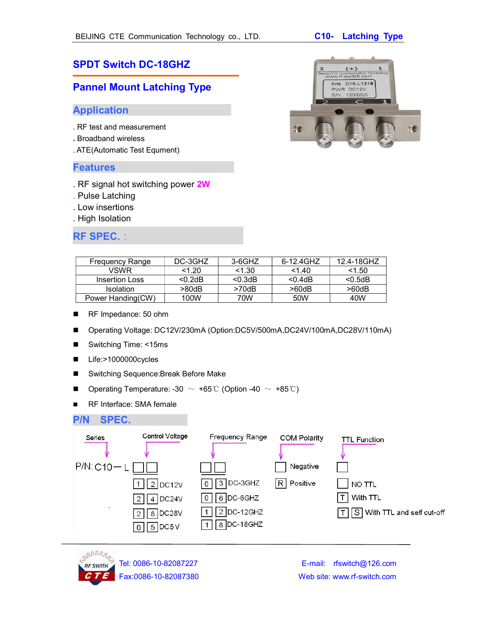# SPDT Switch DC-18GHZ

## Pannel Mount Latching Type

## Application

- . RF test and measurement
- . Broadband wireless
- . ATE(Automatic Test Equment)

#### Features

- . RF signal hot switching power 2W
- . Pulse Latching
- . Low insertions
- . High Isolation

## RF SPEC.:

| <b>Frequency Range</b> | DC-3GHZ    | 3-6GHZ  | 6-12.4GHZ   | 12.4-18GHZ  |
|------------------------|------------|---------|-------------|-------------|
| <b>VSWR</b>            | < 1.20     | < 1.30  | 1.40        | 1.50        |
| <b>Insertion Loss</b>  | $< 0.2$ dB | < 0.3dB | $< 0.4$ dB  | < 0.5dB     |
| <b>Isolation</b>       | >80dB      | >70dB   | $>60$ d $B$ | $>60$ d $B$ |
| Power Handing(CW)      | 100W       | 70W     | 50W         | 40W         |

- RF Impedance: 50 ohm
- Operating Voltage: DC12V/230mA (Option:DC5V/500mA,DC24V/100mA,DC28V/110mA)
- Switching Time: <15ms
- Life:>1000000cycles
- Switching Sequence: Break Before Make
- Operating Temperature: -30  $\sim$  +65℃ (Option -40  $\sim$  +85℃)
- RF Interface: SMA female

## P/N SPEC.





Tel: 0086-10-82087227 E-mail: rfswitch@126.com Fax:0086-10-82087380 Web site: www.rf-switch.com

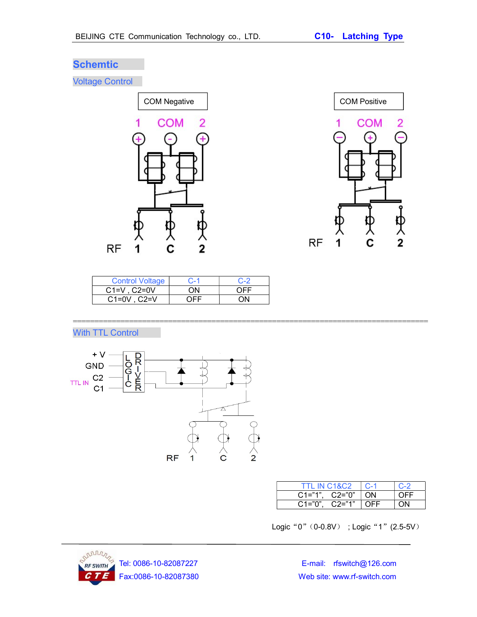# **Schemtic**

Voltage Control





| <b>Control Voltage</b> | $C-1$ | $C - 2$ |
|------------------------|-------|---------|
| $C1=V$ . $C2=0V$       | OΝ    | OFF     |
| $C1=0V$ . $C2=V$       | ∩FF   | ΩN      |

==================================================================================

With TTL Control



| <b>TTL IN C1&amp;C2</b> | $C-1$   | $C-2$ |
|-------------------------|---------|-------|
| $C1="1", C2="0"$        | $^+$ ON | OFF   |
| C2="1"<br>$C1 = "0".$   | OFF     |       |

Logic "0" (0-0.8V) ; Logic "1" (2.5-5V)



Fax:0086-10-82087380 Web site: www.rf-switch.com